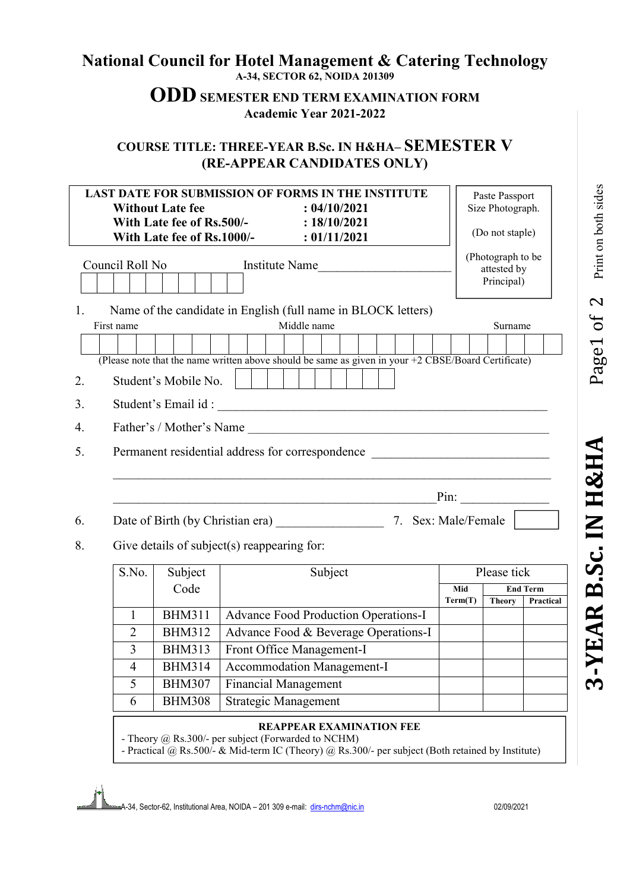## **National Council for Hotel Management & Catering Technology A-34, SECTOR 62, NOIDA 201309**

# **ODD SEMESTER END TERM EXAMINATION FORM Academic Year 2021-2022**

### **COURSE TITLE: THREE-YEAR B.Sc. IN H&HA– SEMESTER V (RE-APPEAR CANDIDATES ONLY)**

| <b>LAST DATE FOR SUBMISSION OF FORMS IN THE INSTITUTE</b>                            |                                                                            |                                                                                                     |                                             |  |  |             |     | Paste Passport |                  |                 |                                                |  |         |  |               |  |           |
|--------------------------------------------------------------------------------------|----------------------------------------------------------------------------|-----------------------------------------------------------------------------------------------------|---------------------------------------------|--|--|-------------|-----|----------------|------------------|-----------------|------------------------------------------------|--|---------|--|---------------|--|-----------|
| <b>Without Late fee</b><br>: 04/10/2021<br>With Late fee of Rs.500/-<br>: 18/10/2021 |                                                                            |                                                                                                     |                                             |  |  |             |     |                | Size Photograph. |                 |                                                |  |         |  |               |  |           |
| With Late fee of Rs.1000/-<br>: 01/11/2021                                           |                                                                            |                                                                                                     |                                             |  |  |             |     |                |                  | (Do not staple) |                                                |  |         |  |               |  |           |
|                                                                                      | Council Roll No<br>Institute Name                                          |                                                                                                     |                                             |  |  |             |     |                |                  |                 | (Photograph to be<br>attested by<br>Principal) |  |         |  |               |  |           |
| $\mathbf{1}$                                                                         |                                                                            | Name of the candidate in English (full name in BLOCK letters)                                       |                                             |  |  |             |     |                |                  |                 |                                                |  |         |  |               |  |           |
|                                                                                      | First name                                                                 |                                                                                                     |                                             |  |  | Middle name |     |                |                  |                 |                                                |  | Surname |  |               |  |           |
|                                                                                      |                                                                            |                                                                                                     |                                             |  |  |             |     |                |                  |                 |                                                |  |         |  |               |  |           |
|                                                                                      |                                                                            | (Please note that the name written above should be same as given in your +2 CBSE/Board Certificate) |                                             |  |  |             |     |                |                  |                 |                                                |  |         |  |               |  |           |
| 2.                                                                                   |                                                                            | Student's Mobile No.                                                                                |                                             |  |  |             |     |                |                  |                 |                                                |  |         |  |               |  |           |
| 3.                                                                                   |                                                                            |                                                                                                     |                                             |  |  |             |     |                |                  |                 |                                                |  |         |  |               |  |           |
| 4.                                                                                   |                                                                            |                                                                                                     |                                             |  |  |             |     |                |                  |                 |                                                |  |         |  |               |  |           |
| 5.                                                                                   | Permanent residential address for correspondence                           |                                                                                                     |                                             |  |  |             |     |                |                  |                 |                                                |  |         |  |               |  |           |
|                                                                                      | Pin: $\qquad \qquad$<br><u> 1989 - Johann Barbara, martxa alemani</u> ar a |                                                                                                     |                                             |  |  |             |     |                |                  |                 |                                                |  |         |  |               |  |           |
| 6.                                                                                   | Date of Birth (by Christian era) 7. Sex: Male/Female                       |                                                                                                     |                                             |  |  |             |     |                |                  |                 |                                                |  |         |  |               |  |           |
| 8.                                                                                   | Give details of subject(s) reappearing for:                                |                                                                                                     |                                             |  |  |             |     |                |                  |                 |                                                |  |         |  |               |  |           |
|                                                                                      | Subject<br>S.No.<br>Subject                                                |                                                                                                     |                                             |  |  |             |     |                | Please tick      |                 |                                                |  |         |  |               |  |           |
|                                                                                      |                                                                            | Code                                                                                                |                                             |  |  |             | Mid |                |                  | <b>End Term</b> |                                                |  |         |  |               |  |           |
|                                                                                      |                                                                            |                                                                                                     |                                             |  |  |             |     |                |                  |                 |                                                |  | Term(T) |  | <b>Theory</b> |  | Practical |
|                                                                                      | $\mathbf{1}$                                                               | <b>BHM311</b>                                                                                       | <b>Advance Food Production Operations-I</b> |  |  |             |     |                |                  |                 |                                                |  |         |  |               |  |           |
|                                                                                      | $\overline{2}$                                                             | <b>BHM312</b>                                                                                       | Advance Food & Beverage Operations-I        |  |  |             |     |                |                  |                 |                                                |  |         |  |               |  |           |
|                                                                                      | $\overline{3}$                                                             | <b>BHM313</b>                                                                                       | Front Office Management-I                   |  |  |             |     |                |                  |                 |                                                |  |         |  |               |  |           |
|                                                                                      | $\overline{4}$                                                             | <b>BHM314</b>                                                                                       | Accommodation Management-I                  |  |  |             |     |                |                  |                 |                                                |  |         |  |               |  |           |
|                                                                                      | 5                                                                          | <b>BHM307</b>                                                                                       | <b>Financial Management</b>                 |  |  |             |     |                |                  |                 |                                                |  |         |  |               |  |           |
|                                                                                      | 6                                                                          | <b>BHM308</b>                                                                                       | Strategic Management                        |  |  |             |     |                |                  |                 |                                                |  |         |  |               |  |           |

#### **REAPPEAR EXAMINATION FEE**

- Theory @ Rs.300/- per subject (Forwarded to NCHM)

- Practical @ Rs.500/- & Mid-term IC (Theory) @ Rs.300/- per subject (Both retained by Institute)

A-34, Sector-62, Institutional Area, NOIDA – 201 309 e-mail: dirs-nchm@nic.in 02/09/2021